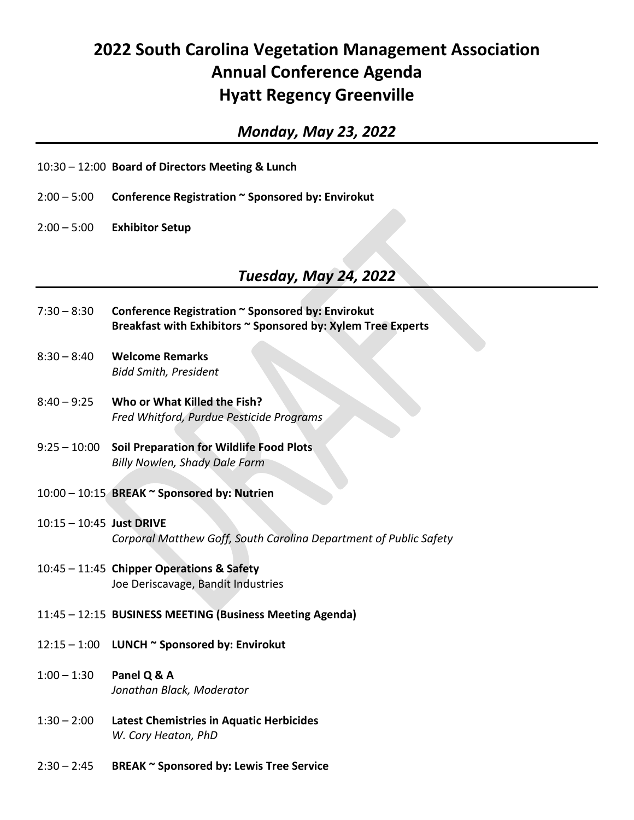## **2022 South Carolina Vegetation Management Association Annual Conference Agenda Hyatt Regency Greenville**

## *Monday, May 23, 2022*

- 10:30 12:00 **Board of Directors Meeting & Lunch**
- 2:00 5:00 **Conference Registration ~ Sponsored by: Envirokut**
- 2:00 5:00 **Exhibitor Setup**

## *Tuesday, May 24, 2022*

- 7:30 8:30 **Conference Registration ~ Sponsored by: Envirokut Breakfast with Exhibitors ~ Sponsored by: Xylem Tree Experts**
- 8:30 8:40 **Welcome Remarks** *Bidd Smith, President*
- 8:40 9:25 **Who or What Killed the Fish?** *Fred Whitford, Purdue Pesticide Programs*
- 9:25 10:00 **Soil Preparation for Wildlife Food Plots** *Billy Nowlen, Shady Dale Farm*
- 10:00 10:15 **BREAK ~ Sponsored by: Nutrien**
- 10:15 10:45 **Just DRIVE** *Corporal Matthew Goff, South Carolina Department of Public Safety*
- 10:45 11:45 **Chipper Operations & Safety** Joe Deriscavage, Bandit Industries
- 11:45 12:15 **BUSINESS MEETING (Business Meeting Agenda)**
- 12:15 1:00 **LUNCH ~ Sponsored by: Envirokut**
- 1:00 1:30 **Panel Q & A** *Jonathan Black, Moderator*
- 1:30 2:00 **Latest Chemistries in Aquatic Herbicides** *W. Cory Heaton, PhD*
- 2:30 2:45 **BREAK ~ Sponsored by: Lewis Tree Service**